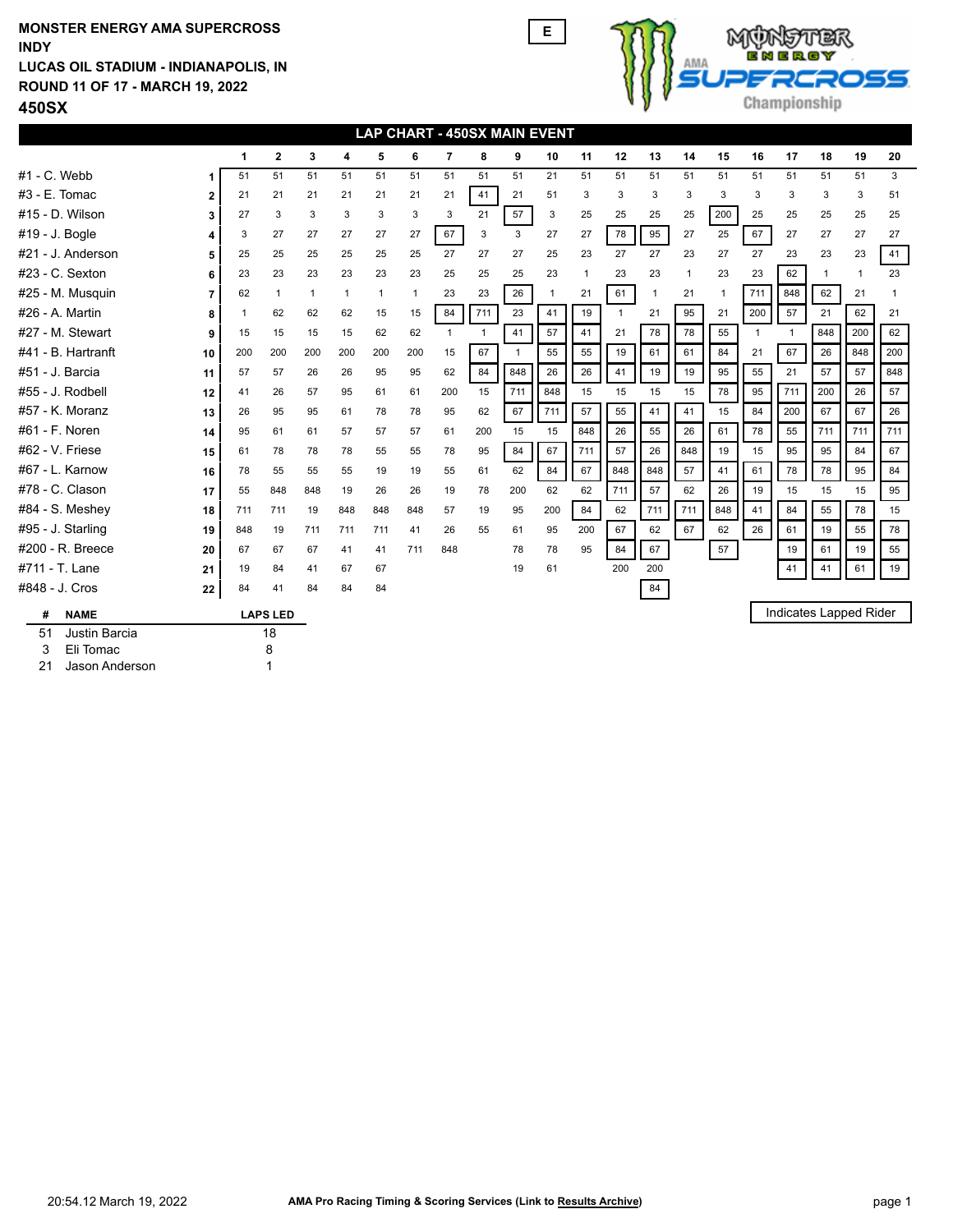## **ROUND 11 OF 17 - MARCH 19, 2022 LUCAS OIL STADIUM - INDIANAPOLIS, IN INDY MONSTER ENERGY AMA SUPERCROSS E**



**450SX**

|                            | LAP CHART - 450SX MAIN EVENT |     |              |              |              |              |              |              |              |              |     |                |              |              |              |              |              |              |                |                        |                |
|----------------------------|------------------------------|-----|--------------|--------------|--------------|--------------|--------------|--------------|--------------|--------------|-----|----------------|--------------|--------------|--------------|--------------|--------------|--------------|----------------|------------------------|----------------|
|                            |                              | 1   | $\mathbf{2}$ | 3            | 4            | 5            | 6            | 7            | 8            | 9            | 10  | 11             | 12           | 13           | 14           | 15           | 16           | 17           | 18             | 19                     | 20             |
| $#1 - C.$ Webb             | 1                            | 51  | 51           | 51           | 51           | 51           | 51           | 51           | 51           | 51           | 21  | 51             | 51           | 51           | 51           | 51           | 51           | 51           | 51             | 51                     | 3              |
| $#3 - E.$ Tomac            | 2                            | 21  | 21           | 21           | 21           | 21           | 21           | 21           | 41           | 21           | 51  | 3              | 3            | 3            | 3            | 3            | 3            | 3            | 3              | 3                      | 51             |
| #15 - D. Wilson            | 3                            | 27  | 3            | 3            | 3            | 3            | 3            | 3            | 21           | 57           | 3   | 25             | 25           | 25           | 25           | 200          | 25           | 25           | 25             | 25                     | 25             |
| #19 - J. Bogle             | 4                            | 3   | 27           | 27           | 27           | 27           | 27           | 67           | 3            | 3            | 27  | 27             | 78           | 95           | 27           | 25           | 67           | 27           | 27             | 27                     | 27             |
| #21 - J. Anderson          | 5                            | 25  | 25           | 25           | 25           | 25           | 25           | 27           | 27           | 27           | 25  | 23             | 27           | 27           | 23           | 27           | 27           | 23           | 23             | 23                     | 41             |
| #23 - C. Sexton            | 6                            | 23  | 23           | 23           | 23           | 23           | 23           | 25           | 25           | 25           | 23  | $\overline{1}$ | 23           | 23           | $\mathbf{1}$ | 23           | 23           | 62           | $\overline{1}$ | $\mathbf{1}$           | 23             |
| #25 - M. Musquin           | $\overline{7}$               | 62  | $\mathbf{1}$ | $\mathbf{1}$ | $\mathbf{1}$ | $\mathbf{1}$ | $\mathbf{1}$ | 23           | 23           | 26           | 1   | 21             | 61           | $\mathbf{1}$ | 21           | $\mathbf{1}$ | 711          | 848          | 62             | 21                     | $\overline{1}$ |
| #26 - A. Martin            | 8                            | 1   | 62           | 62           | 62           | 15           | 15           | 84           | 711          | 23           | 41  | 19             | $\mathbf{1}$ | 21           | 95           | 21           | 200          | 57           | 21             | 62                     | 21             |
| #27 - M. Stewart           | 9                            | 15  | 15           | 15           | 15           | 62           | 62           | $\mathbf{1}$ | $\mathbf{1}$ | 41           | 57  | 41             | 21           | 78           | 78           | 55           | $\mathbf{1}$ | $\mathbf{1}$ | 848            | 200                    | 62             |
| #41 - B. Hartranft         | 10                           | 200 | 200          | 200          | 200          | 200          | 200          | 15           | 67           | $\mathbf{1}$ | 55  | 55             | 19           | 61           | 61           | 84           | 21           | 67           | 26             | 848                    | 200            |
| #51 - J. Barcia            | 11                           | 57  | 57           | 26           | 26           | 95           | 95           | 62           | 84           | 848          | 26  | 26             | 41           | 19           | 19           | 95           | 55           | 21           | 57             | 57                     | 848            |
| #55 - J. Rodbell           | 12                           | 41  | 26           | 57           | 95           | 61           | 61           | 200          | 15           | 711          | 848 | 15             | 15           | 15           | 15           | 78           | 95           | 711          | 200            | 26                     | 57             |
| #57 - K. Moranz            | 13                           | 26  | 95           | 95           | 61           | 78           | 78           | 95           | 62           | 67           | 711 | 57             | 55           | 41           | 41           | 15           | 84           | 200          | 67             | 67                     | 26             |
| #61 - F. Noren             | 14                           | 95  | 61           | 61           | 57           | 57           | 57           | 61           | 200          | 15           | 15  | 848            | 26           | 55           | 26           | 61           | 78           | 55           | 711            | 711                    | 711            |
| #62 - V. Friese            | 15                           | 61  | 78           | 78           | 78           | 55           | 55           | 78           | 95           | 84           | 67  | 711            | 57           | 26           | 848          | 19           | 15           | 95           | 95             | 84                     | 67             |
| #67 - L. Karnow            | 16                           | 78  | 55           | 55           | 55           | 19           | 19           | 55           | 61           | 62           | 84  | 67             | 848          | 848          | 57           | 41           | 61           | 78           | 78             | 95                     | 84             |
| #78 - C. Clason            | 17                           | 55  | 848          | 848          | 19           | 26           | 26           | 19           | 78           | 200          | 62  | 62             | 711          | 57           | 62           | 26           | 19           | 15           | 15             | 15                     | 95             |
| #84 - S. Meshey            | 18                           | 711 | 711          | 19           | 848          | 848          | 848          | 57           | 19           | 95           | 200 | 84             | 62           | 711          | 711          | 848          | 41           | 84           | 55             | 78                     | 15             |
| #95 - J. Starling          | 19                           | 848 | 19           | 711          | 711          | 711          | 41           | 26           | 55           | 61           | 95  | 200            | 67           | 62           | 67           | 62           | 26           | 61           | 19             | 55                     | 78             |
| #200 - R. Breece           | 20                           | 67  | 67           | 67           | 41           | 41           | 711          | 848          |              | 78           | 78  | 95             | 84           | 67           |              | 57           |              | 19           | 61             | 19                     | 55             |
| #711 - T. Lane             | 21                           | 19  | 84           | 41           | 67           | 67           |              |              |              | 19           | 61  |                | 200          | 200          |              |              |              | 41           | 41             | 61                     | 19             |
| #848 - J. Cros             | 22                           | 84  | 41           | 84           | 84           | 84           |              |              |              |              |     |                |              | 84           |              |              |              |              |                |                        |                |
| #<br><b>NAME</b>           | <b>LAPS LED</b>              |     |              |              |              |              |              |              |              |              |     |                |              |              |              |              |              |              |                | Indicates Lapped Rider |                |
| 51<br><b>Justin Barcia</b> |                              |     | 18           |              |              |              |              |              |              |              |     |                |              |              |              |              |              |              |                |                        |                |
| 3<br>Eli Tomac             |                              |     | 8            |              |              |              |              |              |              |              |     |                |              |              |              |              |              |              |                |                        |                |
| 21<br>Jason Anderson       |                              |     |              |              |              |              |              |              |              |              |     |                |              |              |              |              |              |              |                |                        |                |